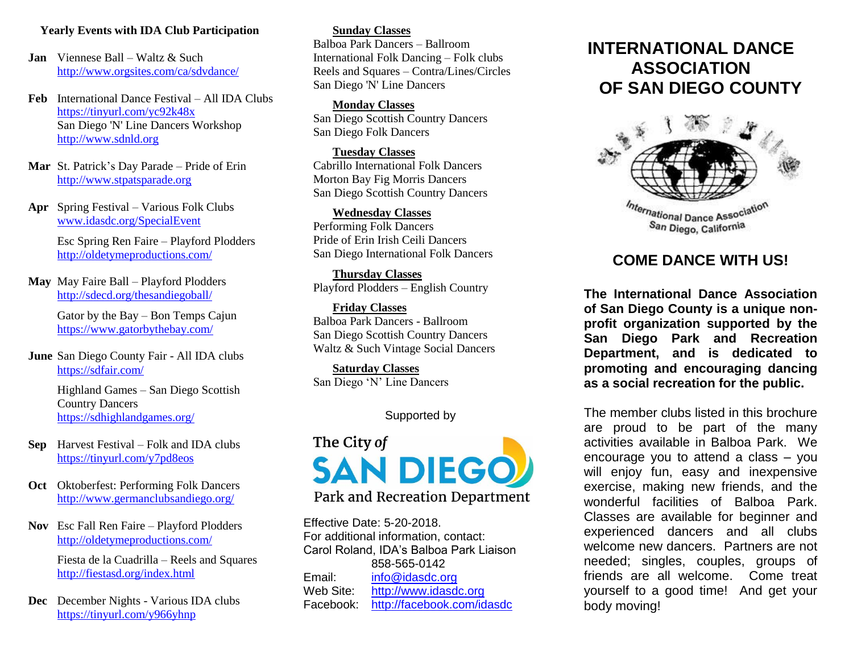# **Yearly Events with IDA Club Participation**

**Jan** Viennese Ball – Waltz & Such <http://www.orgsites.com/ca/sdvdance/>

**Feb** International Dance Festival – All IDA Clubs <https://tinyurl.com/yc92k48x> San Diego 'N' Line Dancers Workshop [http://www.sdnld.org](http://www.sdnld.org/)

- **Mar** St. Patrick's Day Parade Pride of Erin [http://www.stpatsparade.org](http://www.stpatsparade.org/)
- **Apr** Spring Festival Various Folk Clubs [www.idasdc.org/SpecialEvent](http://www.idasdc.org/SpecialEvent)

 Esc Spring Ren Faire – Playford Plodders <http://oldetymeproductions.com/>

**May** May Faire Ball – Playford Plodders <http://sdecd.org/thesandiegoball/>

> Gator by the Bay – Bon Temps Cajun <https://www.gatorbythebay.com/>

**June** San Diego County Fair - All IDA clubs <https://sdfair.com/>

> Highland Games – San Diego Scottish Country Dancers <https://sdhighlandgames.org/>

- **Sep** Harvest Festival Folk and IDA clubs https://tinyurl.com/y7pd8eos
- **Oct** Oktoberfest: Performing Folk Dancers <http://www.germanclubsandiego.org/>
- **Nov** Esc Fall Ren Faire Playford Plodders <http://oldetymeproductions.com/>

Fiesta de la Cuadrilla – Reels and Squares <http://fiestasd.org/index.html>

**Dec** December Nights - Various IDA clubs <https://tinyurl.com/y966yhnp>

**Sunday Classes** Balboa Park Dancers – Ballroom International Folk Dancing – Folk clubs Reels and Squares – Contra/Lines/Circles San Diego 'N' Line Dancers

**Monday Classes** San Diego Scottish Country Dancers San Diego Folk Dancers

**Tuesday Classes** Cabrillo International Folk Dancers Morton Bay Fig Morris Dancers San Diego Scottish Country Dancers

**Wednesday Classes** Performing Folk Dancers Pride of Erin Irish Ceili Dancers San Diego International Folk Dancers

**Thursday Classes** Playford Plodders – English Country

**Friday Classes** Balboa Park Dancers - Ballroom San Diego Scottish Country Dancers Waltz & Such Vintage Social Dancers

**Saturday Classes** San Diego 'N' Line Dancers

# Supported by

# The City of **SAN DIEGO**

Park and Recreation Department

Effective Date: 5-20-2018. For additional information, contact: Carol Roland, IDA's Balboa Park Liaison 858-565-0142 Email: [info@idasdc.org](mailto:info@idasdc.org) Web Site: [http://www.idasdc.org](http://www.idasdc.org/) Facebook: <http://facebook.com/idasdc>

# **INTERNATIONAL DANCE ASSOCIATION OF SAN DIEGO COUNTY**



# **COME DANCE WITH US!**

**The International Dance Association of San Diego County is a unique nonprofit organization supported by the San Diego Park and Recreation Department, and is dedicated to promoting and encouraging dancing as a social recreation for the public.** 

The member clubs listed in this brochure are proud to be part of the many activities available in Balboa Park. We encourage you to attend a class – you will enjoy fun, easy and inexpensive exercise, making new friends, and the wonderful facilities of Balboa Park. Classes are available for beginner and experienced dancers and all clubs welcome new dancers. Partners are not needed; singles, couples, groups of friends are all welcome. Come treat yourself to a good time! And get your body moving!